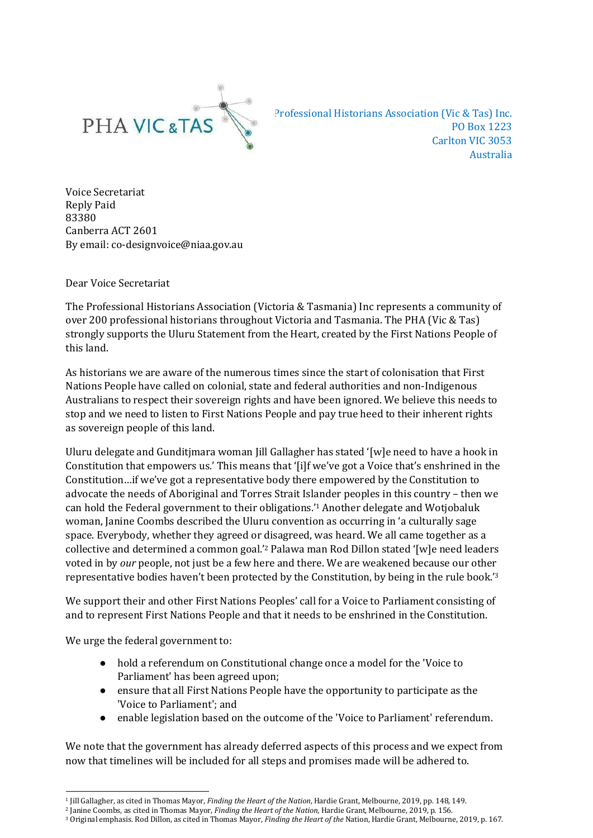

 Professional Historians Association (Vic & Tas) Inc. PO Box 1223 Carlton VIC 3053 Australia

 Voice Secretariat Reply Paid Canberra ACT 2601 By email: co-designvoice@niaa.gov.au 83380

Dear Voice Secretariat

 The Professional Historians Association (Victoria & Tasmania) Inc represents a community of over 200 professional historians throughout Victoria and Tasmania. The PHA (Vic & Tas) strongly supports the Uluru Statement from the Heart, created by the First Nations People of this land.

 As historians we are aware of the numerous times since the start of colonisation that First Nations People have called on colonial, state and federal authorities and non-Indigenous Australians to respect their sovereign rights and have been ignored. We believe this needs to stop and we need to listen to First Nations People and pay true heed to their inherent rights as sovereign people of this land.

 Uluru delegate and Gunditjmara woman Jill Gallagher has stated '[w]e need to have a hook in Constitution that empowers us.' This means that '[i]f we've got a Voice that's enshrined in the Constitution…if we've got a representative body there empowered by the Constitution to advocate the needs of Aboriginal and Torres Strait Islander peoples in this country – then we can hold the Federal government to their obligations.'1 Another delegate and Wotjobaluk woman, Janine Coombs described the Uluru convention as occurring in 'a culturally sage space. Everybody, whether they agreed or disagreed, was heard. We all came together as a collective and determined a common goal.'2 Palawa man Rod Dillon stated '[w]e need leaders voted in by *our* people, not just be a few here and there. We are weakened because our other representative bodies haven't been protected by the Constitution, by being in the rule book.'3

 We support their and other First Nations Peoples' call for a Voice to Parliament consisting of and to represent First Nations People and that it needs to be enshrined in the Constitution.

We urge the federal government to:

- ● hold a referendum on Constitutional change once a model for the 'Voice to Parliament' has been agreed upon;
- ● ensure that all First Nations People have the opportunity to participate as the 'Voice to Parliament'; and
- enable legislation based on the outcome of the 'Voice to Parliament' referendum.

 We note that the government has already deferred aspects of this process and we expect from now that timelines will be included for all steps and promises made will be adhered to.

 1 Jill Gallagher, as cited in Thomas Mayor, *Finding the Heart of the Nation*, Hardie Grant, Melbourne, 2019, pp. 148, 149. �

 2 Janine Coombs, as cited in Thomas Mayor, *Finding the Heart of the Nation,* Hardie Grant, Melbourne, 2019, p. 156.

 3 Original emphasis. Rod Dillon, as cited in Thomas Mayor, *Finding the Heart of the* Nation, Hardie Grant, Melbourne, 2019, p. 167. �